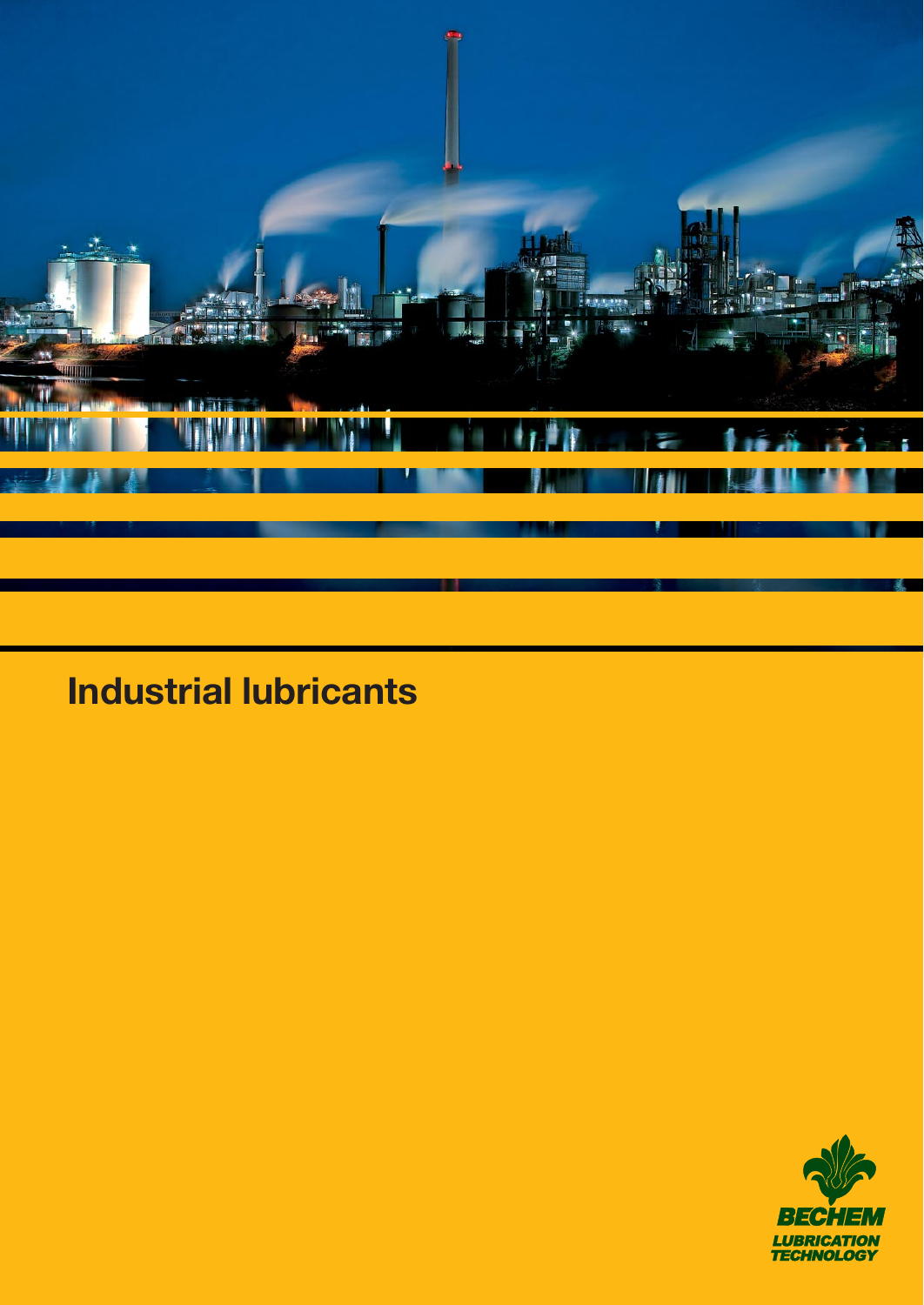

# **Industrial lubricants**

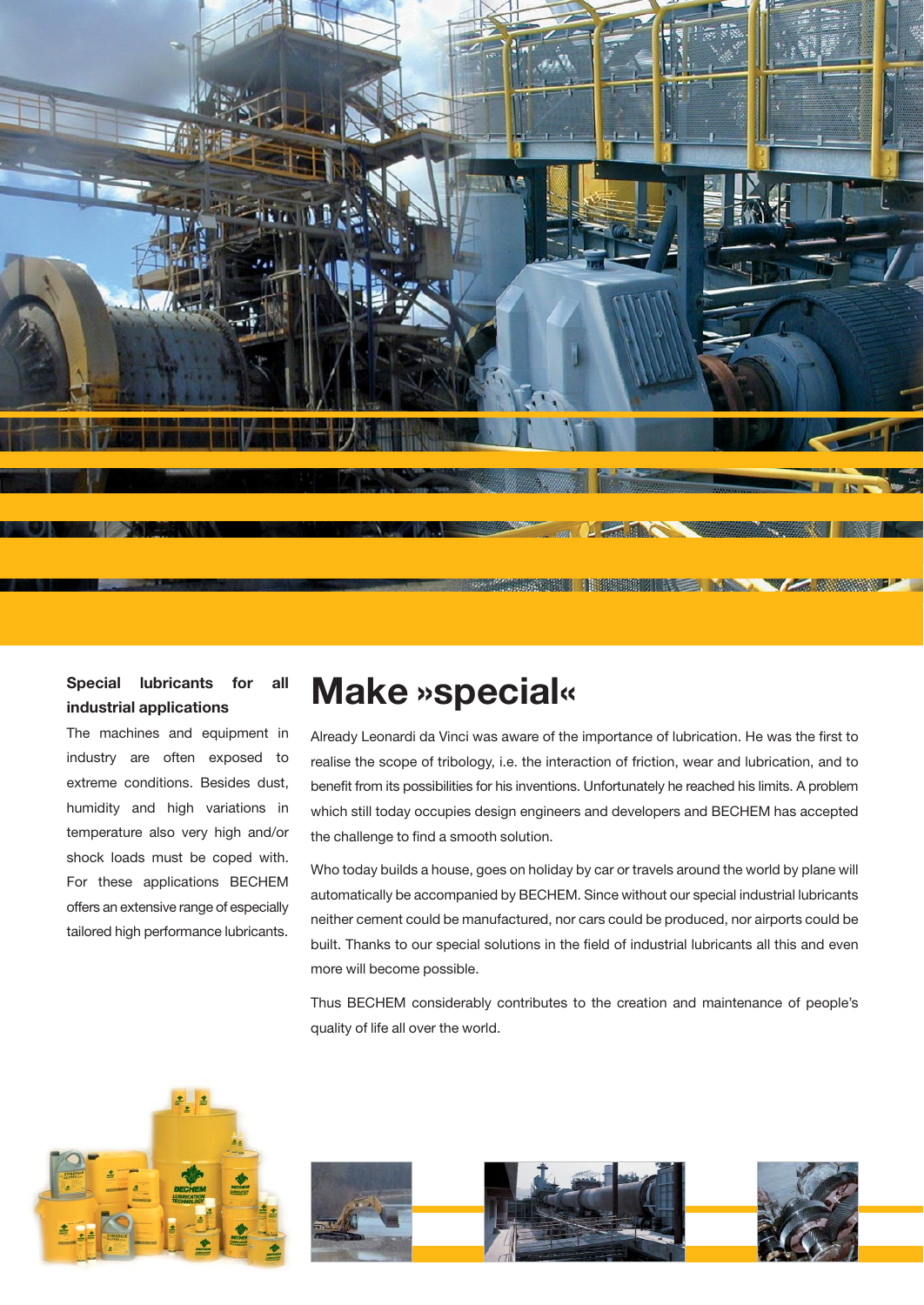

# **Special lubricants for all industrial applications**

The machines and equipment in industry are often exposed to extreme conditions. Besides dust, humidity and high variations in temperature also very high and/or shock loads must be coped with. For these applications BECHEM offers an extensive range of especially tailored high performance lubricants.

# **Make »special«**

Already Leonardi da Vinci was aware of the importance of lubrication. He was the first to realise the scope of tribology, i.e. the interaction of friction, wear and lubrication, and to benefit from its possibilities for his inventions. Unfortunately he reached his limits. A problem which still today occupies design engineers and developers and BECHEM has accepted the challenge to find a smooth solution.

Who today builds a house, goes on holiday by car or travels around the world by plane will automatically be accompanied by BECHEM. Since without our special industrial lubricants neither cement could be manufactured, nor cars could be produced, nor airports could be built. Thanks to our special solutions in the field of industrial lubricants all this and even more will become possible.

Thus BECHEM considerably contributes to the creation and maintenance of people's quality of life all over the world.



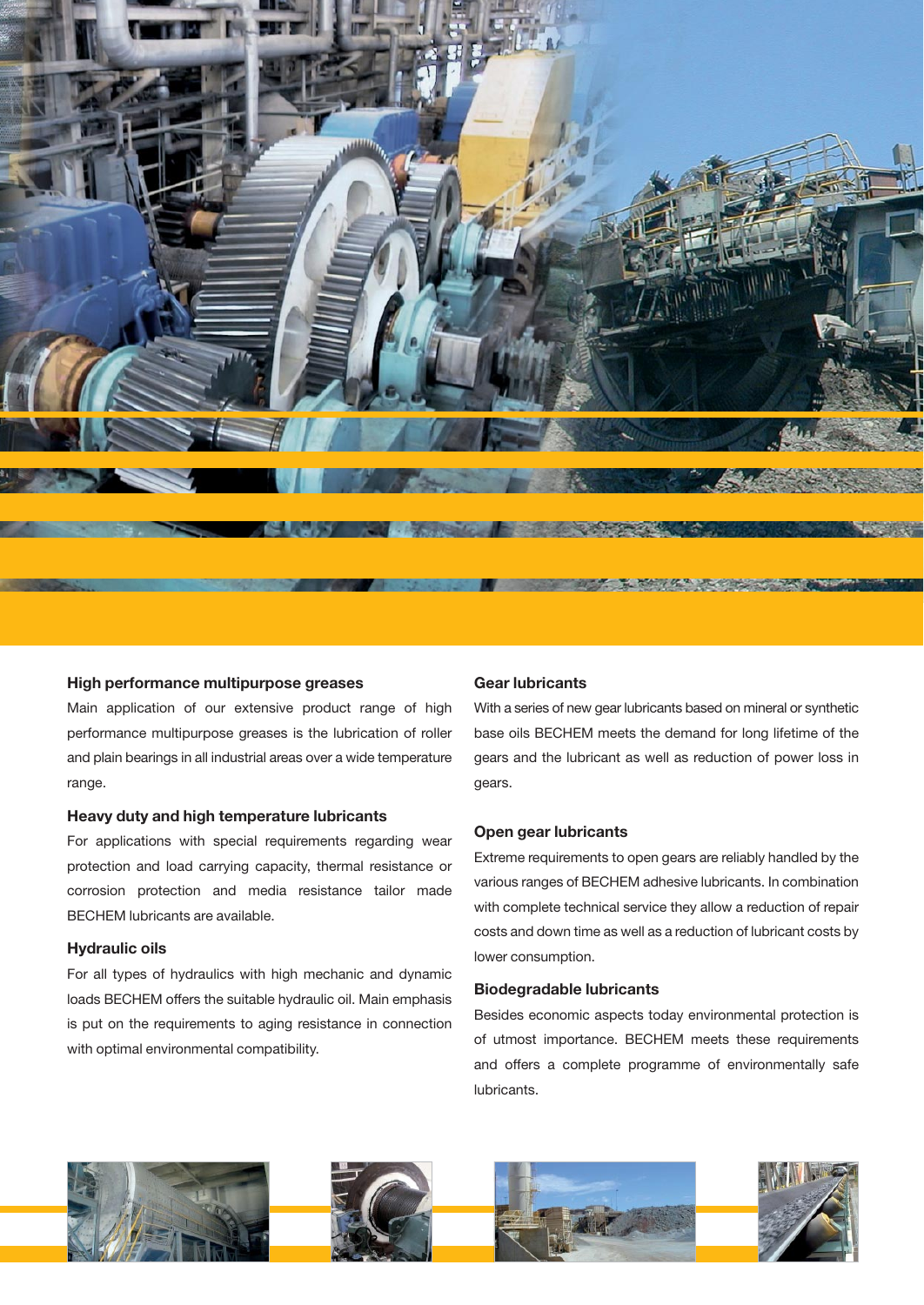

#### **High performance multipurpose greases**

Main application of our extensive product range of high performance multipurpose greases is the lubrication of roller and plain bearings in all industrial areas over a wide temperature range.

#### **Heavy duty and high temperature lubricants**

For applications with special requirements regarding wear protection and load carrying capacity, thermal resistance or corrosion protection and media resistance tailor made BECHEM lubricants are available.

#### **Hydraulic oils**

For all types of hydraulics with high mechanic and dynamic loads BECHEM offers the suitable hydraulic oil. Main emphasis is put on the requirements to aging resistance in connection with optimal environmental compatibility.

#### **Gear lubricants**

With a series of new gear lubricants based on mineral or synthetic base oils BECHEM meets the demand for long lifetime of the gears and the lubricant as well as reduction of power loss in gears.

#### **Open gear lubricants**

Extreme requirements to open gears are reliably handled by the various ranges of BECHEM adhesive lubricants. In combination with complete technical service they allow a reduction of repair costs and down time as well as a reduction of lubricant costs by lower consumption.

#### **Biodegradable lubricants**

Besides economic aspects today environmental protection is of utmost importance. BECHEM meets these requirements and offers a complete programme of environmentally safe lubricants.